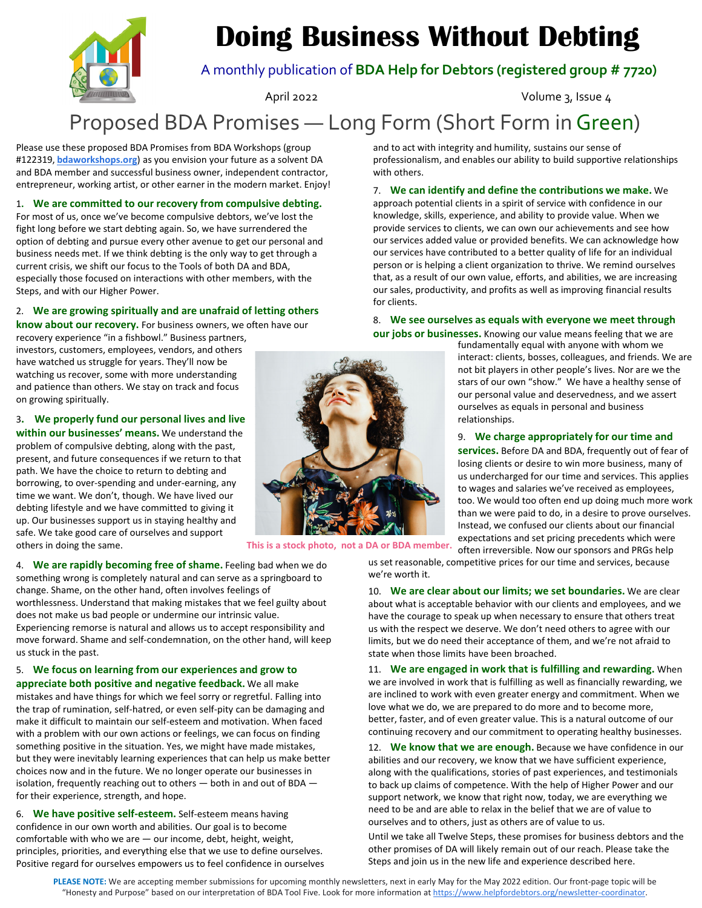## **Doing Business Without Debting**



A monthly publication of **BDA Help for Debtors (registered group # 7720)**

April 2022 **Volume 3, Issue 4** 

### Proposed BDA Promises — Long Form (Short Form inGreen)

Please use these proposed BDA Promises from BDA Workshops (group #122319, **bdaworkshops.org**) as you envision your future as a solvent DA and BDA member and successful business owner, independent contractor, entrepreneur, working artist, or other earner in the modern market. Enjoy!

1**. We are committed to our recovery from compulsive debting.**

For most of us, once we've become compulsive debtors, we've lost the fight long before we start debting again. So, we have surrendered the option of debting and pursue every other avenue to get our personal and business needs met. If we think debting is the only way to get through a current crisis, we shift our focus to the Tools of both DA and BDA, especially those focused on interactions with other members, with the Steps, and with our Higher Power.

#### 2. **We are growing spiritually and are unafraid of letting others**

**know about our recovery.** For business owners, we often have our recovery experience "in a fishbowl." Business partners,

investors, customers, employees, vendors, and others have watched us struggle for years. They'll now be watching us recover, some with more understanding and patience than others. We stay on track and focus on growing spiritually.

3**. We properly fund our personal lives and live within our businesses' means.** We understand the problem of compulsive debting, along with the past, present, and future consequences if we return to that path. We have the choice to return to debting and borrowing, to over‐spending and under‐earning, any time we want. We don't, though. We have lived our debting lifestyle and we have committed to giving it up. Our businesses support us in staying healthy and safe. We take good care of ourselves and support others in doing the same.

4. **We are rapidly becoming free of shame.** Feeling bad when we do something wrong is completely natural and can serve as a springboard to change. Shame, on the other hand, often involves feelings of worthlessness. Understand that making mistakes that we feel guilty about does not make us bad people or undermine our intrinsic value. Experiencing remorse is natural and allows us to accept responsibility and move forward. Shame and self‐condemnation, on the other hand, will keep us stuck in the past.

5. **We focus on learning from our experiences and grow to appreciate both positive and negative feedback.** We all make mistakes and have things for which we feel sorry or regretful. Falling into the trap of rumination, self‐hatred, or even self‐pity can be damaging and make it difficult to maintain our self‐esteem and motivation. When faced with a problem with our own actions or feelings, we can focus on finding something positive in the situation. Yes, we might have made mistakes, but they were inevitably learning experiences that can help us make better choices now and in the future. We no longer operate our businesses in isolation, frequently reaching out to others — both in and out of BDA for their experience, strength, and hope.

6. **We have positive self‐esteem.** Self‐esteem means having confidence in our own worth and abilities. Our goal is to become comfortable with who we are  $-$  our income, debt, height, weight, principles, priorities, and everything else that we use to define ourselves. Positive regard for ourselves empowers us to feel confidence in ourselves and to act with integrity and humility, sustains our sense of professionalism, and enables our ability to build supportive relationships with others.

7. **We can identify and define the contributions we make.** We approach potential clients in a spirit of service with confidence in our knowledge, skills, experience, and ability to provide value. When we provide services to clients, we can own our achievements and see how our services added value or provided benefits. We can acknowledge how our services have contributed to a better quality of life for an individual person or is helping a client organization to thrive. We remind ourselves that, as a result of our own value, efforts, and abilities, we are increasing our sales, productivity, and profits as well as improving financial results for clients.

8. **We see ourselves as equals with everyone we meet through our jobs or businesses.** Knowing our value means feeling that we are

fundamentally equal with anyone with whom we interact: clients, bosses, colleagues, and friends. We are not bit players in other people's lives. Nor are we the stars of our own "show." We have a healthy sense of our personal value and deservedness, and we assert ourselves as equals in personal and business relationships.

#### 9. **We charge appropriately for our time and**

**services.** Before DA and BDA, frequently out of fear of losing clients or desire to win more business, many of us undercharged for our time and services. This applies to wages and salaries we've received as employees, too. We would too often end up doing much more work than we were paid to do, in a desire to prove ourselves. Instead, we confused our clients about our financial expectations and set pricing precedents which were

often irreversible. Now our sponsors and PRGs help

us set reasonable, competitive prices for our time and services, because we're worth it.

10. **We are clear about our limits; we set boundaries.** We are clear about what is acceptable behavior with our clients and employees, and we have the courage to speak up when necessary to ensure that others treat us with the respect we deserve. We don't need others to agree with our limits, but we do need their acceptance of them, and we're not afraid to state when those limits have been broached.

11. **We are engaged in work that is fulfilling and rewarding.** When we are involved in work that is fulfilling as well as financially rewarding, we are inclined to work with even greater energy and commitment. When we love what we do, we are prepared to do more and to become more, better, faster, and of even greater value. This is a natural outcome of our continuing recovery and our commitment to operating healthy businesses.

12. **We know that we are enough.** Because we have confidence in our abilities and our recovery, we know that we have sufficient experience, along with the qualifications, stories of past experiences, and testimonials to back up claims of competence. With the help of Higher Power and our support network, we know that right now, today, we are everything we need to be and are able to relax in the belief that we are of value to ourselves and to others, just as others are of value to us.

Until we take all Twelve Steps, these promises for business debtors and the other promises of DA will likely remain out of our reach. Please take the Steps and join us in the new life and experience described here.



**This is a stock photo, not a DA or BDA member.**

**PLEASE NOTE:** We are accepting member submissions for upcoming monthly newsletters, next in early May for the May 2022 edition. Our front‐page topic will be "Honesty and Purpose" based on our interpretation of BDA Tool Five. Look for more information at https://www.helpfordebtors.org/newsletter-coordinator.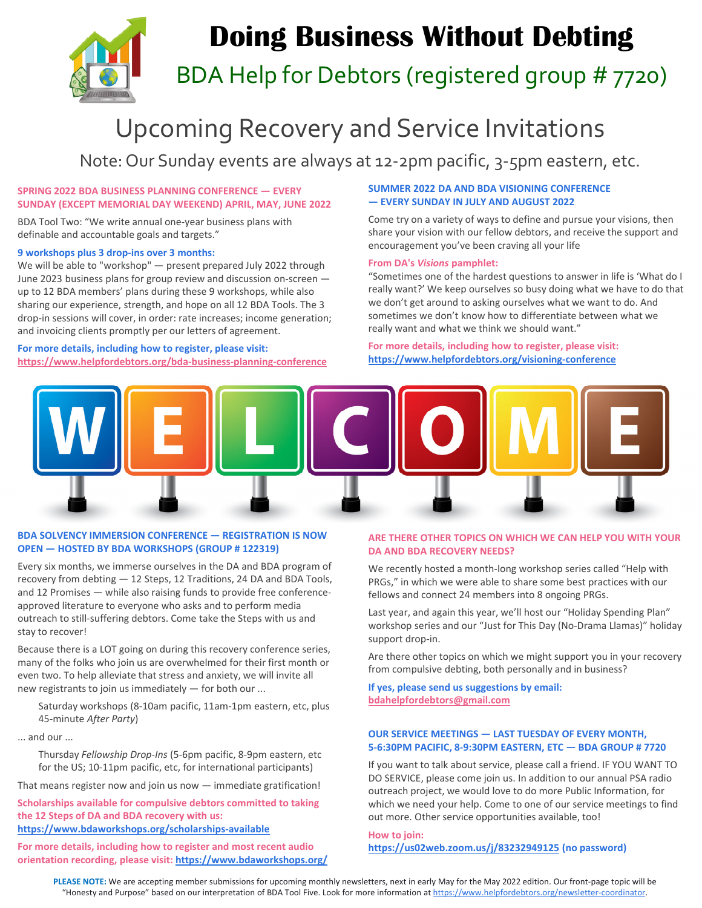

# **Doing Business Without Debting**

BDA Help for Debtors (registered group # 7720)

### Upcoming Recovery and Service Invitations

Note: Our Sunday events are always at 12‐2pm pacific, 3‐5pm eastern, etc.

#### **SPRING 2022 BDA BUSINESS PLANNING CONFERENCE — EVERY SUNDAY (EXCEPT MEMORIAL DAY WEEKEND) APRIL, MAY, JUNE 2022**

BDA Tool Two: "We write annual one‐year business plans with definable and accountable goals and targets."

#### **9 workshops plus 3 drop‐ins over 3 months:**

We will be able to "workshop" — present prepared July 2022 through June 2023 business plans for group review and discussion on‐screen up to 12 BDA members' plans during these 9 workshops, while also sharing our experience, strength, and hope on all 12 BDA Tools. The 3 drop‐in sessions will cover, in order: rate increases; income generation; and invoicing clients promptly per our letters of agreement.

#### **For more details, including how to register, please visit: https://www.helpfordebtors.org/bda‐business‐planning‐conference**

#### **SUMMER 2022 DA AND BDA VISIONING CONFERENCE — EVERY SUNDAY IN JULY AND AUGUST 2022**

Come try on a variety of ways to define and pursue your visions, then share your vision with our fellow debtors, and receive the support and encouragement you've been craving all your life

#### **From DA's** *Visions* **pamphlet:**

"Sometimes one of the hardest questions to answer in life is 'What do I really want?' We keep ourselves so busy doing what we have to do that we don't get around to asking ourselves what we want to do. And sometimes we don't know how to differentiate between what we really want and what we think we should want."

#### **For more details, including how to register, please visit: https://www.helpfordebtors.org/visioning‐conference**



#### **BDA SOLVENCY IMMERSION CONFERENCE — REGISTRATION IS NOW OPEN — HOSTED BY BDA WORKSHOPS (GROUP # 122319)**

Every six months, we immerse ourselves in the DA and BDA program of recovery from debting — 12 Steps, 12 Traditions, 24 DA and BDA Tools, and 12 Promises — while also raising funds to provide free conference‐ approved literature to everyone who asks and to perform media outreach to still‐suffering debtors. Come take the Steps with us and stay to recover!

Because there is a LOT going on during this recovery conference series, many of the folks who join us are overwhelmed for their first month or even two. To help alleviate that stress and anxiety, we will invite all new registrants to join us immediately — for both our ...

Saturday workshops (8‐10am pacific, 11am‐1pm eastern, etc, plus 45‐minute *After Party*)

... and our ...

Thursday *Fellowship Drop‐Ins* (5‐6pm pacific, 8‐9pm eastern, etc for the US; 10-11pm pacific, etc, for international participants)

That means register now and join us now — immediate gratification!

**Scholarships available for compulsive debtors committed to taking the 12 Steps of DA and BDA recovery with us: https://www.bdaworkshops.org/scholarships‐available**

**For more details, including how to register and most recent audio orientation recording, please visit: https://www.bdaworkshops.org/**

#### **ARE THERE OTHER TOPICS ON WHICH WE CAN HELP YOU WITH YOUR DA AND BDA RECOVERY NEEDS?**

We recently hosted a month‐long workshop series called "Help with PRGs," in which we were able to share some best practices with our fellows and connect 24 members into 8 ongoing PRGs.

Last year, and again this year, we'll host our "Holiday Spending Plan" workshop series and our "Just for This Day (No‐Drama Llamas)" holiday support drop‐in.

Are there other topics on which we might support you in your recovery from compulsive debting, both personally and in business?

**If yes, please send us suggestions by email: bdahelpfordebtors@gmail.com**

#### **OUR SERVICE MEETINGS — LAST TUESDAY OF EVERY MONTH, 5‐6:30PM PACIFIC, 8‐9:30PM EASTERN, ETC — BDA GROUP # 7720**

If you want to talk about service, please call a friend. IF YOU WANT TO DO SERVICE, please come join us. In addition to our annual PSA radio outreach project, we would love to do more Public Information, for which we need your help. Come to one of our service meetings to find out more. Other service opportunities available, too!

**How to join: https://us02web.zoom.us/j/83232949125 (no password)**

**PLEASE NOTE:** We are accepting member submissions for upcoming monthly newsletters, next in early May for the May 2022 edition. Our front‐page topic will be "Honesty and Purpose" based on our interpretation of BDA Tool Five. Look for more information at https://www.helpfordebtors.org/newsletter-coordinator.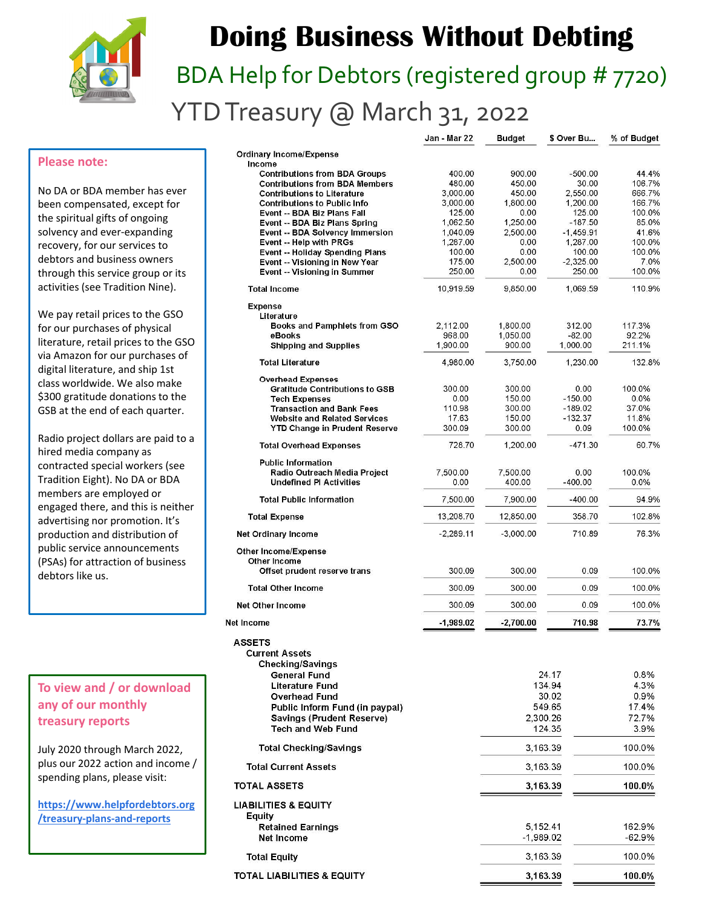

## **Doing Business Without Debting**

# BDA Help for Debtors (registered group # 7720) YTD Treasury @ March 31, 2022

Jan - Mar 22

**Rudget** 

\$ Over Bu...

% of Budget

#### **Please note:**

No DA or BDA member has ever been compensated, except for the spiritual gifts of ongoing solvency and ever‐expanding recovery, for our services to debtors and business owners through this service group or its activities (see Tradition Nine).

We pay retail prices to the GSO for our purchases of physical literature, retail prices to the GSO via Amazon for our purchases of digital literature, and ship 1st class worldwide. We also make \$300 gratitude donations to the GSB at the end of each quarter.

Radio project dollars are paid to a hired media company as contracted special workers (see Tradition Eight). No DA or BDA members are employed or engaged there, and this is neither advertising nor promotion. It's production and distribution of public service announcements (PSAs) for attraction of business debtors like us.

### **To view and / or download any of our monthly treasury reports**

**Net** 

July 2020 through March 2022, plus our 2022 action and income / spending plans, please visit:

**https://www.helpfordebtors.org /treasury‐plans‐and‐reports**

|             |                                                                                                                                                                                                  |                                                                                                                                                                                                   | 44.4%                                                                                                                                                                                                                               |
|-------------|--------------------------------------------------------------------------------------------------------------------------------------------------------------------------------------------------|---------------------------------------------------------------------------------------------------------------------------------------------------------------------------------------------------|-------------------------------------------------------------------------------------------------------------------------------------------------------------------------------------------------------------------------------------|
| 480.00      | 450.00                                                                                                                                                                                           | 30.00                                                                                                                                                                                             | 106.7%                                                                                                                                                                                                                              |
| 3.000.00    | 450.00                                                                                                                                                                                           | 2.550.00                                                                                                                                                                                          | 666.7%                                                                                                                                                                                                                              |
|             |                                                                                                                                                                                                  |                                                                                                                                                                                                   | 166.7%<br>100.0%                                                                                                                                                                                                                    |
|             |                                                                                                                                                                                                  |                                                                                                                                                                                                   | 85.0%                                                                                                                                                                                                                               |
| 1,040.09    | 2,500.00                                                                                                                                                                                         | $-1,459.91$                                                                                                                                                                                       | 41.6%                                                                                                                                                                                                                               |
| 1,287.00    | 0.00                                                                                                                                                                                             | 1,287.00                                                                                                                                                                                          | 100.0%                                                                                                                                                                                                                              |
|             |                                                                                                                                                                                                  |                                                                                                                                                                                                   | 100.0%                                                                                                                                                                                                                              |
| 250.00      | 0.00                                                                                                                                                                                             | 250.00                                                                                                                                                                                            | 7.0%<br>100.0%                                                                                                                                                                                                                      |
| 10,919.59   | 9,850.00                                                                                                                                                                                         | 1,069.59                                                                                                                                                                                          | 110.9%                                                                                                                                                                                                                              |
|             |                                                                                                                                                                                                  |                                                                                                                                                                                                   |                                                                                                                                                                                                                                     |
|             |                                                                                                                                                                                                  |                                                                                                                                                                                                   |                                                                                                                                                                                                                                     |
|             |                                                                                                                                                                                                  |                                                                                                                                                                                                   | 117.3%                                                                                                                                                                                                                              |
|             |                                                                                                                                                                                                  |                                                                                                                                                                                                   | 92.2%<br>211.1%                                                                                                                                                                                                                     |
|             |                                                                                                                                                                                                  |                                                                                                                                                                                                   | 132.8%                                                                                                                                                                                                                              |
|             |                                                                                                                                                                                                  |                                                                                                                                                                                                   |                                                                                                                                                                                                                                     |
| 300.00      | 300.00                                                                                                                                                                                           | 0.00                                                                                                                                                                                              | 100.0%                                                                                                                                                                                                                              |
| 0.00        | 150.00                                                                                                                                                                                           | $-150.00$                                                                                                                                                                                         | 0.0%                                                                                                                                                                                                                                |
|             |                                                                                                                                                                                                  |                                                                                                                                                                                                   | 37.0%                                                                                                                                                                                                                               |
|             |                                                                                                                                                                                                  |                                                                                                                                                                                                   | 11.8%<br>100.0%                                                                                                                                                                                                                     |
|             |                                                                                                                                                                                                  |                                                                                                                                                                                                   |                                                                                                                                                                                                                                     |
|             |                                                                                                                                                                                                  |                                                                                                                                                                                                   | 60.7%                                                                                                                                                                                                                               |
|             |                                                                                                                                                                                                  |                                                                                                                                                                                                   | 100.0%                                                                                                                                                                                                                              |
| 0.00        | 400.00                                                                                                                                                                                           | $-400.00$                                                                                                                                                                                         | $0.0\%$                                                                                                                                                                                                                             |
| 7,500.00    | 7,900.00                                                                                                                                                                                         | $-400.00$                                                                                                                                                                                         | 94.9%                                                                                                                                                                                                                               |
| 13,208.70   | 12,850.00                                                                                                                                                                                        | 358.70                                                                                                                                                                                            | 102.8%                                                                                                                                                                                                                              |
| $-2,289.11$ | $-3,000.00$                                                                                                                                                                                      | 710.89                                                                                                                                                                                            | 76.3%                                                                                                                                                                                                                               |
|             |                                                                                                                                                                                                  |                                                                                                                                                                                                   |                                                                                                                                                                                                                                     |
|             |                                                                                                                                                                                                  |                                                                                                                                                                                                   |                                                                                                                                                                                                                                     |
|             |                                                                                                                                                                                                  |                                                                                                                                                                                                   | 100.0%                                                                                                                                                                                                                              |
| 300.09      | 300.00                                                                                                                                                                                           | 0.09                                                                                                                                                                                              | 100.0%                                                                                                                                                                                                                              |
|             |                                                                                                                                                                                                  |                                                                                                                                                                                                   | 100.0%                                                                                                                                                                                                                              |
|             |                                                                                                                                                                                                  |                                                                                                                                                                                                   | 73.7%                                                                                                                                                                                                                               |
|             |                                                                                                                                                                                                  |                                                                                                                                                                                                   |                                                                                                                                                                                                                                     |
|             |                                                                                                                                                                                                  |                                                                                                                                                                                                   |                                                                                                                                                                                                                                     |
|             |                                                                                                                                                                                                  |                                                                                                                                                                                                   | 0.8%                                                                                                                                                                                                                                |
|             |                                                                                                                                                                                                  |                                                                                                                                                                                                   | 4.3%                                                                                                                                                                                                                                |
|             | 30.02                                                                                                                                                                                            |                                                                                                                                                                                                   | 0.9%                                                                                                                                                                                                                                |
|             | 549.65                                                                                                                                                                                           |                                                                                                                                                                                                   | 17.4%                                                                                                                                                                                                                               |
|             | 2,300.26                                                                                                                                                                                         |                                                                                                                                                                                                   | 72.7%                                                                                                                                                                                                                               |
|             | 124 35                                                                                                                                                                                           |                                                                                                                                                                                                   | 3.9%                                                                                                                                                                                                                                |
|             | 3,163.39                                                                                                                                                                                         |                                                                                                                                                                                                   | 100.0%                                                                                                                                                                                                                              |
|             | 3,163.39                                                                                                                                                                                         |                                                                                                                                                                                                   | 100.0%                                                                                                                                                                                                                              |
|             | 3,163.39                                                                                                                                                                                         |                                                                                                                                                                                                   | 100.0%                                                                                                                                                                                                                              |
|             |                                                                                                                                                                                                  |                                                                                                                                                                                                   |                                                                                                                                                                                                                                     |
|             |                                                                                                                                                                                                  |                                                                                                                                                                                                   |                                                                                                                                                                                                                                     |
|             |                                                                                                                                                                                                  |                                                                                                                                                                                                   | 162.9%                                                                                                                                                                                                                              |
|             | -1,989.02                                                                                                                                                                                        |                                                                                                                                                                                                   | $-62.9%$                                                                                                                                                                                                                            |
|             | 3,163.39                                                                                                                                                                                         |                                                                                                                                                                                                   | 100.0%                                                                                                                                                                                                                              |
|             | 3,163.39                                                                                                                                                                                         |                                                                                                                                                                                                   | 100.0%                                                                                                                                                                                                                              |
|             | 400.00<br>3,000.00<br>125.00<br>1,062.50<br>100.00<br>175.00<br>2,112.00<br>968.00<br>1,900.00<br>4,980.00<br>110.98<br>17.63<br>300.09<br>728.70<br>7,500.00<br>300.09<br>300.09<br>$-1,989.02$ | 900.00<br>1.800.00<br>0.00<br>1,250.00<br>0.00<br>2,500.00<br>1,800.00<br>1,050.00<br>900.00<br>3,750.00<br>300.00<br>150.00<br>300.00<br>1,200.00<br>7,500.00<br>300.00<br>300.00<br>$-2,700.00$ | $-500.00$<br>1,200.00<br>125.00<br>$-187.50$<br>100.00<br>$-2,325.00$<br>312.00<br>$-82.00$<br>1,000.00<br>1,230.00<br>$-189.02$<br>$-132.37$<br>0.09<br>$-471.30$<br>0.00<br>0.09<br>0.09<br>710.98<br>24.17<br>134.94<br>5,152.41 |